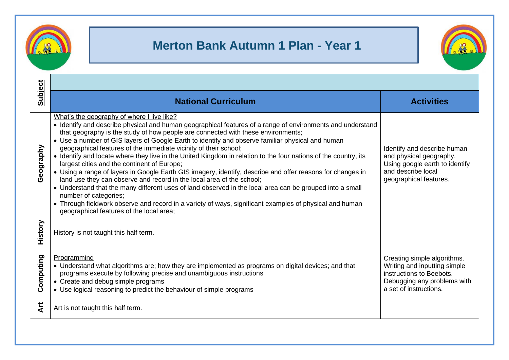

## **Merton Bank Autumn 1 Plan - Year 1**



| <b>Subject</b> | <b>National Curriculum</b>                                                                                                                                                                                                                                                                                                                                                                                                                                                                                                                                                                                                                                                                                                                                                                                                                                                                                                                                                                                                                                                | <b>Activities</b>                                                                                                                                |  |
|----------------|---------------------------------------------------------------------------------------------------------------------------------------------------------------------------------------------------------------------------------------------------------------------------------------------------------------------------------------------------------------------------------------------------------------------------------------------------------------------------------------------------------------------------------------------------------------------------------------------------------------------------------------------------------------------------------------------------------------------------------------------------------------------------------------------------------------------------------------------------------------------------------------------------------------------------------------------------------------------------------------------------------------------------------------------------------------------------|--------------------------------------------------------------------------------------------------------------------------------------------------|--|
| Geography      | What's the geography of where I live like?<br>• Identify and describe physical and human geographical features of a range of environments and understand<br>that geography is the study of how people are connected with these environments;<br>• Use a number of GIS layers of Google Earth to identify and observe familiar physical and human<br>geographical features of the immediate vicinity of their school;<br>• Identify and locate where they live in the United Kingdom in relation to the four nations of the country, its<br>largest cities and the continent of Europe;<br>• Using a range of layers in Google Earth GIS imagery, identify, describe and offer reasons for changes in<br>land use they can observe and record in the local area of the school;<br>• Understand that the many different uses of land observed in the local area can be grouped into a small<br>number of categories;<br>• Through fieldwork observe and record in a variety of ways, significant examples of physical and human<br>geographical features of the local area; | Identify and describe human<br>and physical geography.<br>Using google earth to identify<br>and describe local<br>geographical features.         |  |
| History        | History is not taught this half term.                                                                                                                                                                                                                                                                                                                                                                                                                                                                                                                                                                                                                                                                                                                                                                                                                                                                                                                                                                                                                                     |                                                                                                                                                  |  |
| Computing      | Programming<br>• Understand what algorithms are; how they are implemented as programs on digital devices; and that<br>programs execute by following precise and unambiguous instructions<br>• Create and debug simple programs<br>• Use logical reasoning to predict the behaviour of simple programs                                                                                                                                                                                                                                                                                                                                                                                                                                                                                                                                                                                                                                                                                                                                                                     | Creating simple algorithms.<br>Writing and inputting simple<br>instructions to Beebots.<br>Debugging any problems with<br>a set of instructions. |  |
| <b>Art</b>     | Art is not taught this half term.                                                                                                                                                                                                                                                                                                                                                                                                                                                                                                                                                                                                                                                                                                                                                                                                                                                                                                                                                                                                                                         |                                                                                                                                                  |  |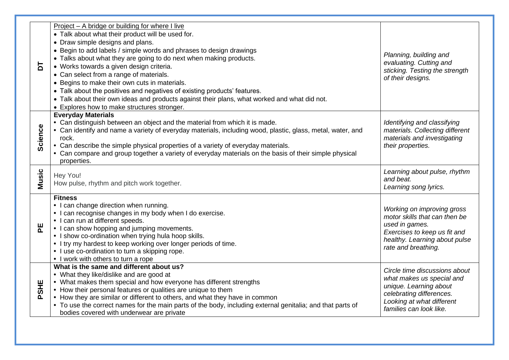| 능               | Project - A bridge or building for where I live<br>• Talk about what their product will be used for.<br>• Draw simple designs and plans.<br>• Begin to add labels / simple words and phrases to design drawings<br>• Talks about what they are going to do next when making products.<br>• Works towards a given design criteria.<br>• Can select from a range of materials.<br>• Begins to make their own cuts in materials.<br>• Talk about the positives and negatives of existing products' features.<br>• Talk about their own ideas and products against their plans, what worked and what did not. | Planning, building and<br>evaluating. Cutting and<br>sticking. Testing the strength<br>of their designs.                                                                 |
|-----------------|-----------------------------------------------------------------------------------------------------------------------------------------------------------------------------------------------------------------------------------------------------------------------------------------------------------------------------------------------------------------------------------------------------------------------------------------------------------------------------------------------------------------------------------------------------------------------------------------------------------|--------------------------------------------------------------------------------------------------------------------------------------------------------------------------|
| Science         | • Explores how to make structures stronger.<br><b>Everyday Materials</b><br>• Can distinguish between an object and the material from which it is made.<br>• Can identify and name a variety of everyday materials, including wood, plastic, glass, metal, water, and<br>rock.<br>• Can describe the simple physical properties of a variety of everyday materials.<br>• Can compare and group together a variety of everyday materials on the basis of their simple physical<br>properties.                                                                                                              | Identifying and classifying<br>materials. Collecting different<br>materials and investigating<br>their properties.                                                       |
| <b>Music</b>    | Hey You!<br>How pulse, rhythm and pitch work together.                                                                                                                                                                                                                                                                                                                                                                                                                                                                                                                                                    | Learning about pulse, rhythm<br>and beat.<br>Learning song lyrics.                                                                                                       |
| 뿐               | <b>Fitness</b><br>• I can change direction when running.<br>• I can recognise changes in my body when I do exercise.<br>• I can run at different speeds.<br>• I can show hopping and jumping movements.<br>• I show co-ordination when trying hula hoop skills.<br>• I try my hardest to keep working over longer periods of time.<br>• I use co-ordination to turn a skipping rope.<br>• I work with others to turn a rope                                                                                                                                                                               | Working on improving gross<br>motor skills that can then be<br>used in games.<br>Exercises to keep us fit and<br>healthy. Learning about pulse<br>rate and breathing.    |
| <b>SHE</b><br>൨ | What is the same and different about us?<br>• What they like/dislike and are good at<br>• What makes them special and how everyone has different strengths<br>• How their personal features or qualities are unique to them<br>• How they are similar or different to others, and what they have in common<br>• To use the correct names for the main parts of the body, including external genitalia; and that parts of<br>bodies covered with underwear are private                                                                                                                                     | Circle time discussions about<br>what makes us special and<br>unique. Learning about<br>celebrating differences.<br>Looking at what different<br>families can look like. |